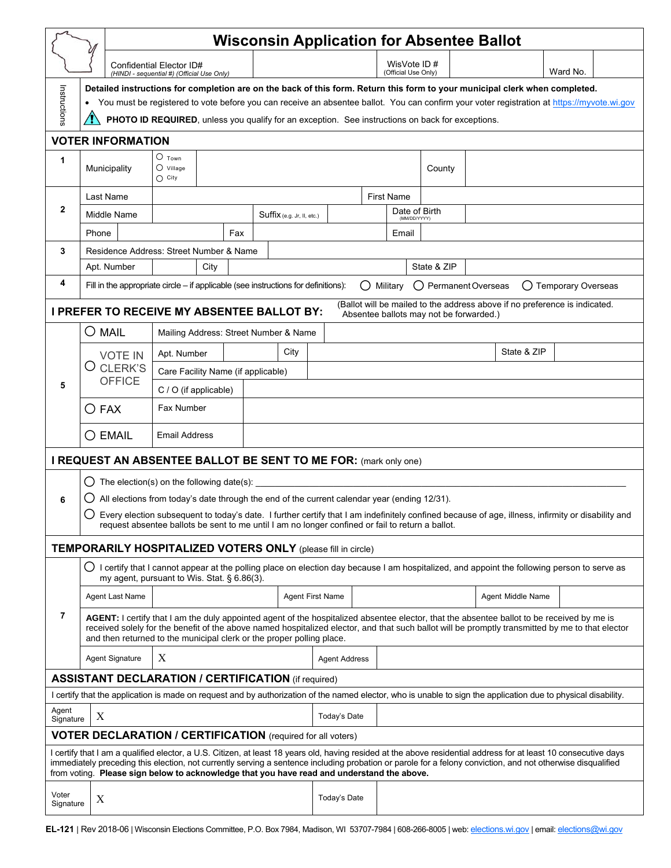|                                                                                                                                                                                                                                                                                                                                                                                                                               | <b>Wisconsin Application for Absentee Ballot</b>                                                                                                                                                                                                                                                                                                                        |                                         |     |                                       |      |                      |                                    |                   |                                                                                                                                                                |          |  |  |  |
|-------------------------------------------------------------------------------------------------------------------------------------------------------------------------------------------------------------------------------------------------------------------------------------------------------------------------------------------------------------------------------------------------------------------------------|-------------------------------------------------------------------------------------------------------------------------------------------------------------------------------------------------------------------------------------------------------------------------------------------------------------------------------------------------------------------------|-----------------------------------------|-----|---------------------------------------|------|----------------------|------------------------------------|-------------------|----------------------------------------------------------------------------------------------------------------------------------------------------------------|----------|--|--|--|
|                                                                                                                                                                                                                                                                                                                                                                                                                               |                                                                                                                                                                                                                                                                                                                                                                         | Confidential Elector ID#                |     |                                       |      |                      | WisVote ID#<br>(Official Use Only) |                   |                                                                                                                                                                | Ward No. |  |  |  |
|                                                                                                                                                                                                                                                                                                                                                                                                                               | (HINDI - sequential #) (Official Use Only)<br>Detailed instructions for completion are on the back of this form. Return this form to your municipal clerk when completed.                                                                                                                                                                                               |                                         |     |                                       |      |                      |                                    |                   |                                                                                                                                                                |          |  |  |  |
| Instructions                                                                                                                                                                                                                                                                                                                                                                                                                  | You must be registered to vote before you can receive an absentee ballot. You can confirm your voter registration at https://myvote.wi.gov                                                                                                                                                                                                                              |                                         |     |                                       |      |                      |                                    |                   |                                                                                                                                                                |          |  |  |  |
| PHOTO ID REQUIRED, unless you qualify for an exception. See instructions on back for exceptions.                                                                                                                                                                                                                                                                                                                              |                                                                                                                                                                                                                                                                                                                                                                         |                                         |     |                                       |      |                      |                                    |                   |                                                                                                                                                                |          |  |  |  |
| <b>VOTER INFORMATION</b><br>$\circ$ Town                                                                                                                                                                                                                                                                                                                                                                                      |                                                                                                                                                                                                                                                                                                                                                                         |                                         |     |                                       |      |                      |                                    |                   |                                                                                                                                                                |          |  |  |  |
| 1                                                                                                                                                                                                                                                                                                                                                                                                                             | Municipality                                                                                                                                                                                                                                                                                                                                                            | $\bigcirc$ Village<br>$\bigcirc$ City   |     |                                       |      |                      |                                    | County            |                                                                                                                                                                |          |  |  |  |
| $\mathbf{2}$                                                                                                                                                                                                                                                                                                                                                                                                                  | Last Name                                                                                                                                                                                                                                                                                                                                                               |                                         |     |                                       |      | <b>First Name</b>    |                                    |                   |                                                                                                                                                                |          |  |  |  |
|                                                                                                                                                                                                                                                                                                                                                                                                                               | Middle Name                                                                                                                                                                                                                                                                                                                                                             |                                         |     | Suffix (e.g. Jr, II, etc.)            |      |                      | Date of Birth<br>(MM/DD/YYYY)      |                   |                                                                                                                                                                |          |  |  |  |
|                                                                                                                                                                                                                                                                                                                                                                                                                               | Phone                                                                                                                                                                                                                                                                                                                                                                   |                                         | Fax |                                       |      |                      | Email                              |                   |                                                                                                                                                                |          |  |  |  |
| 3                                                                                                                                                                                                                                                                                                                                                                                                                             |                                                                                                                                                                                                                                                                                                                                                                         | Residence Address: Street Number & Name |     |                                       | City |                      |                                    |                   |                                                                                                                                                                |          |  |  |  |
| 4                                                                                                                                                                                                                                                                                                                                                                                                                             | Apt. Number                                                                                                                                                                                                                                                                                                                                                             |                                         |     |                                       |      | State & ZIP          |                                    |                   |                                                                                                                                                                |          |  |  |  |
|                                                                                                                                                                                                                                                                                                                                                                                                                               | Fill in the appropriate circle – if applicable (see instructions for definitions):<br>Military<br>O Permanent Overseas<br>◯ Temporary Overseas<br>( )                                                                                                                                                                                                                   |                                         |     |                                       |      |                      |                                    |                   |                                                                                                                                                                |          |  |  |  |
| (Ballot will be mailed to the address above if no preference is indicated.<br><b>I PREFER TO RECEIVE MY ABSENTEE BALLOT BY:</b><br>Absentee ballots may not be forwarded.)                                                                                                                                                                                                                                                    |                                                                                                                                                                                                                                                                                                                                                                         |                                         |     |                                       |      |                      |                                    |                   |                                                                                                                                                                |          |  |  |  |
|                                                                                                                                                                                                                                                                                                                                                                                                                               | O mail                                                                                                                                                                                                                                                                                                                                                                  |                                         |     | Mailing Address: Street Number & Name |      |                      |                                    |                   |                                                                                                                                                                |          |  |  |  |
|                                                                                                                                                                                                                                                                                                                                                                                                                               | <b>VOTE IN</b>                                                                                                                                                                                                                                                                                                                                                          | Apt. Number                             |     | City                                  |      |                      |                                    |                   | State & ZIP                                                                                                                                                    |          |  |  |  |
|                                                                                                                                                                                                                                                                                                                                                                                                                               | O CLERK'S<br><b>OFFICE</b>                                                                                                                                                                                                                                                                                                                                              | Care Facility Name (if applicable)      |     |                                       |      |                      |                                    |                   |                                                                                                                                                                |          |  |  |  |
| 5                                                                                                                                                                                                                                                                                                                                                                                                                             |                                                                                                                                                                                                                                                                                                                                                                         | C / O (if applicable)                   |     |                                       |      |                      |                                    |                   |                                                                                                                                                                |          |  |  |  |
|                                                                                                                                                                                                                                                                                                                                                                                                                               | $\bigcirc$ Fax                                                                                                                                                                                                                                                                                                                                                          | Fax Number                              |     |                                       |      |                      |                                    |                   |                                                                                                                                                                |          |  |  |  |
|                                                                                                                                                                                                                                                                                                                                                                                                                               | $\bigcirc$ EMAIL                                                                                                                                                                                                                                                                                                                                                        | <b>Email Address</b>                    |     |                                       |      |                      |                                    |                   |                                                                                                                                                                |          |  |  |  |
| I REQUEST AN ABSENTEE BALLOT BE SENT TO ME FOR: (mark only one)                                                                                                                                                                                                                                                                                                                                                               |                                                                                                                                                                                                                                                                                                                                                                         |                                         |     |                                       |      |                      |                                    |                   |                                                                                                                                                                |          |  |  |  |
|                                                                                                                                                                                                                                                                                                                                                                                                                               | The election(s) on the following date(s):<br>$\cup$                                                                                                                                                                                                                                                                                                                     |                                         |     |                                       |      |                      |                                    |                   |                                                                                                                                                                |          |  |  |  |
| 6                                                                                                                                                                                                                                                                                                                                                                                                                             | All elections from today's date through the end of the current calendar year (ending 12/31).                                                                                                                                                                                                                                                                            |                                         |     |                                       |      |                      |                                    |                   |                                                                                                                                                                |          |  |  |  |
|                                                                                                                                                                                                                                                                                                                                                                                                                               | O Every election subsequent to today's date. I further certify that I am indefinitely confined because of age, illness, infirmity or disability and<br>request absentee ballots be sent to me until I am no longer confined or fail to return a ballot.                                                                                                                 |                                         |     |                                       |      |                      |                                    |                   |                                                                                                                                                                |          |  |  |  |
|                                                                                                                                                                                                                                                                                                                                                                                                                               | <b>TEMPORARILY HOSPITALIZED VOTERS ONLY (please fill in circle)</b>                                                                                                                                                                                                                                                                                                     |                                         |     |                                       |      |                      |                                    |                   |                                                                                                                                                                |          |  |  |  |
|                                                                                                                                                                                                                                                                                                                                                                                                                               | my agent, pursuant to Wis. Stat. § 6.86(3).                                                                                                                                                                                                                                                                                                                             |                                         |     |                                       |      |                      |                                    |                   | $\bigcirc$ I certify that I cannot appear at the polling place on election day because I am hospitalized, and appoint the following person to serve as         |          |  |  |  |
| 7                                                                                                                                                                                                                                                                                                                                                                                                                             | Agent Last Name                                                                                                                                                                                                                                                                                                                                                         |                                         |     | Agent First Name                      |      |                      |                                    | Agent Middle Name |                                                                                                                                                                |          |  |  |  |
|                                                                                                                                                                                                                                                                                                                                                                                                                               | AGENT: I certify that I am the duly appointed agent of the hospitalized absentee elector, that the absentee ballot to be received by me is<br>received solely for the benefit of the above named hospitalized elector, and that such ballot will be promptly transmitted by me to that elector<br>and then returned to the municipal clerk or the proper polling place. |                                         |     |                                       |      |                      |                                    |                   |                                                                                                                                                                |          |  |  |  |
|                                                                                                                                                                                                                                                                                                                                                                                                                               | <b>Agent Signature</b>                                                                                                                                                                                                                                                                                                                                                  | Х                                       |     |                                       |      | <b>Agent Address</b> |                                    |                   |                                                                                                                                                                |          |  |  |  |
|                                                                                                                                                                                                                                                                                                                                                                                                                               | <b>ASSISTANT DECLARATION / CERTIFICATION (if required)</b>                                                                                                                                                                                                                                                                                                              |                                         |     |                                       |      |                      |                                    |                   |                                                                                                                                                                |          |  |  |  |
|                                                                                                                                                                                                                                                                                                                                                                                                                               |                                                                                                                                                                                                                                                                                                                                                                         |                                         |     |                                       |      |                      |                                    |                   | I certify that the application is made on request and by authorization of the named elector, who is unable to sign the application due to physical disability. |          |  |  |  |
| Agent<br>Signature                                                                                                                                                                                                                                                                                                                                                                                                            | X                                                                                                                                                                                                                                                                                                                                                                       |                                         |     |                                       |      | Today's Date         |                                    |                   |                                                                                                                                                                |          |  |  |  |
|                                                                                                                                                                                                                                                                                                                                                                                                                               | <b>VOTER DECLARATION / CERTIFICATION</b> (required for all voters)                                                                                                                                                                                                                                                                                                      |                                         |     |                                       |      |                      |                                    |                   |                                                                                                                                                                |          |  |  |  |
| I certify that I am a qualified elector, a U.S. Citizen, at least 18 years old, having resided at the above residential address for at least 10 consecutive days<br>immediately preceding this election, not currently serving a sentence including probation or parole for a felony conviction, and not otherwise disqualified<br>from voting. Please sign below to acknowledge that you have read and understand the above. |                                                                                                                                                                                                                                                                                                                                                                         |                                         |     |                                       |      |                      |                                    |                   |                                                                                                                                                                |          |  |  |  |
| Voter<br>Signature                                                                                                                                                                                                                                                                                                                                                                                                            | X                                                                                                                                                                                                                                                                                                                                                                       |                                         |     |                                       |      | Today's Date         |                                    |                   |                                                                                                                                                                |          |  |  |  |

**EL-121** | Rev 2018-06 | Wisconsin Elections Committee, P.O. Box 7984, Madison, WI 53707-7984 | 608-266-8005 | web: [elections.wi.gov](https://elections.wi.gov/) | email: [elections@wi.gov](mailto:elections@wi.gov)